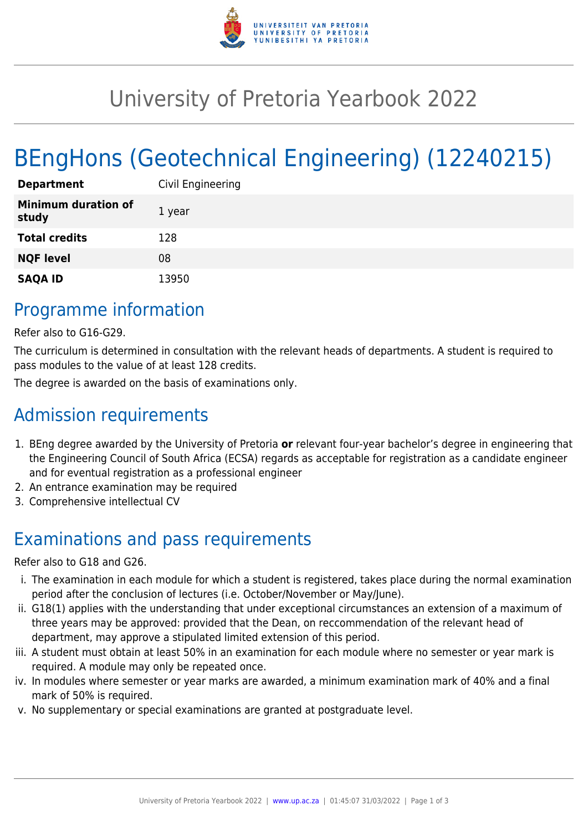

# University of Pretoria Yearbook 2022

# BEngHons (Geotechnical Engineering) (12240215)

| <b>Department</b>                   | Civil Engineering |
|-------------------------------------|-------------------|
| <b>Minimum duration of</b><br>study | 1 year            |
| <b>Total credits</b>                | 128               |
| <b>NQF level</b>                    | 08                |
| <b>SAQA ID</b>                      | 13950             |

#### Programme information

Refer also to G16-G29.

The curriculum is determined in consultation with the relevant heads of departments. A student is required to pass modules to the value of at least 128 credits.

The degree is awarded on the basis of examinations only.

## Admission requirements

- 1. BEng degree awarded by the University of Pretoria **or** relevant four-year bachelor's degree in engineering that the Engineering Council of South Africa (ECSA) regards as acceptable for registration as a candidate engineer and for eventual registration as a professional engineer
- 2. An entrance examination may be required
- 3. Comprehensive intellectual CV

## Examinations and pass requirements

Refer also to G18 and G26.

- i. The examination in each module for which a student is registered, takes place during the normal examination period after the conclusion of lectures (i.e. October/November or May/June).
- ii. G18(1) applies with the understanding that under exceptional circumstances an extension of a maximum of three years may be approved: provided that the Dean, on reccommendation of the relevant head of department, may approve a stipulated limited extension of this period.
- iii. A student must obtain at least 50% in an examination for each module where no semester or year mark is required. A module may only be repeated once.
- iv. In modules where semester or year marks are awarded, a minimum examination mark of 40% and a final mark of 50% is required.
- v. No supplementary or special examinations are granted at postgraduate level.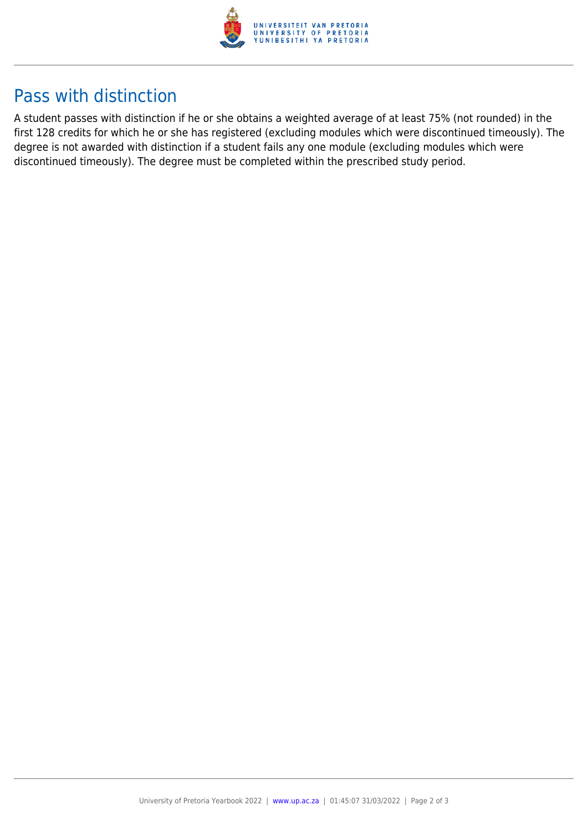

### Pass with distinction

A student passes with distinction if he or she obtains a weighted average of at least 75% (not rounded) in the first 128 credits for which he or she has registered (excluding modules which were discontinued timeously). The degree is not awarded with distinction if a student fails any one module (excluding modules which were discontinued timeously). The degree must be completed within the prescribed study period.